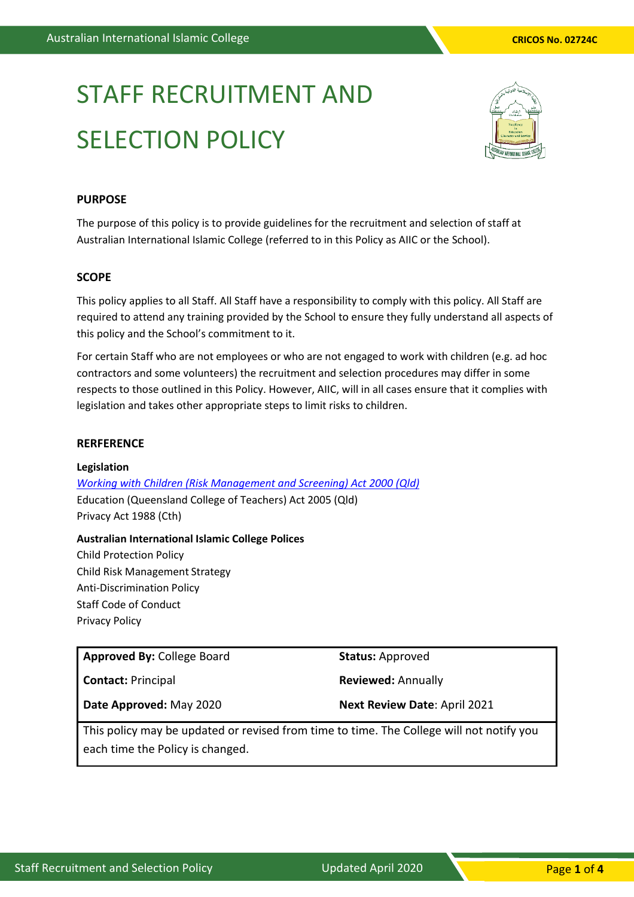# STAFF RECRUITMENT AND SELECTION POLICY



# **PURPOSE**

The purpose of this policy is to provide guidelines for the recruitment and selection of staff at Australian International Islamic College (referred to in this Policy as AIIC or the School).

#### **SCOPE**

This policy applies to all Staff. All Staff have a responsibility to comply with this policy. All Staff are required to attend any training provided by the School to ensure they fully understand all aspects of this policy and the School's commitment to it.

For certain Staff who are not employees or who are not engaged to work with children (e.g. ad hoc contractors and some volunteers) the recruitment and selection procedures may differ in some respects to those outlined in this Policy. However, AIIC, will in all cases ensure that it complies with legislation and takes other appropriate steps to limit risks to children.

#### **RERFERENCE**

#### **Legislation**

*[Working with Children \(Risk Management and Screening\) Act 2000](https://www.google.com.au/url?sa=t&rct=j&q=&esrc=s&source=web&cd=1&cad=rja&uact=8&ved=0ahUKEwjszrOpmcrYAhUBHZQKHS_qCvwQFggnMAA&url=https%3A%2F%2Fwww.legislation.qld.gov.au%2Fview%2Fpdf%2F2017-06-05%2Fact-2000-060&usg=AOvVaw38v1wgUo90I0js1jq3uYvj) (Qld)* Education (Queensland College of Teachers) Act 2005 (Qld) Privacy Act 1988 (Cth)

**Australian International Islamic College Polices** Child Protection Policy Child Risk Management Strategy Anti-Discrimination Policy Staff Code of Conduct Privacy Policy

**Approved By:** College Board

**Contact:** Principal

**Status:** Approved

**Reviewed:** Annually

**Date Approved:** May 2020

**Next Review Date**: April 2021

This policy may be updated or revised from time to time. The College will not notify you each time the Policy is changed.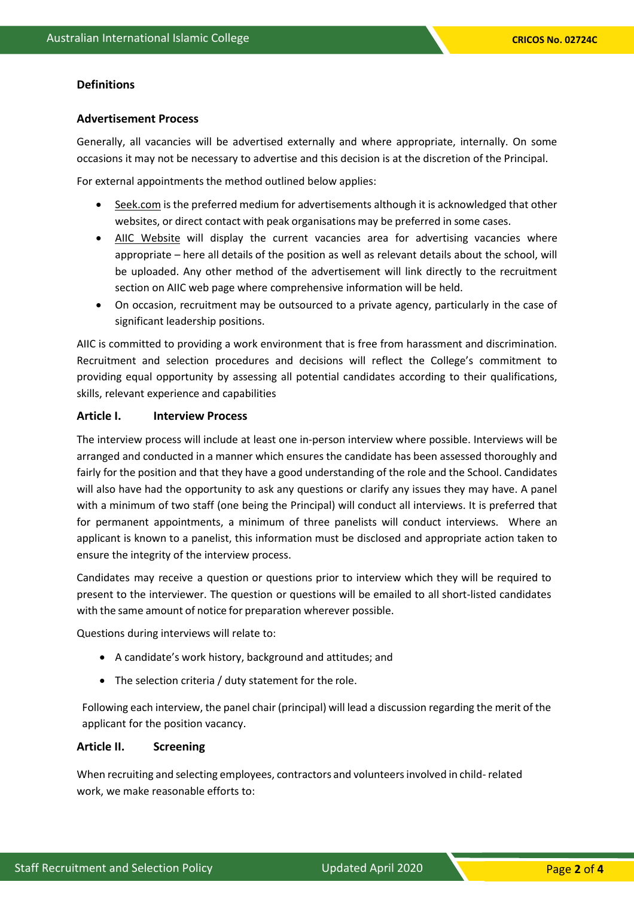# **Definitions**

#### **Advertisement Process**

Generally, all vacancies will be advertised externally and where appropriate, internally. On some occasions it may not be necessary to advertise and this decision is at the discretion of the Principal.

For external appointments the method outlined below applies:

- Seek.com is the preferred medium for advertisements although it is acknowledged that other websites, or direct contact with peak organisations may be preferred in some cases.
- AIIC Website will display the current vacancies area for advertising vacancies where appropriate – here all details of the position as well as relevant details about the school, will be uploaded. Any other method of the advertisement will link directly to the recruitment section on AIIC web page where comprehensive information will be held.
- On occasion, recruitment may be outsourced to a private agency, particularly in the case of significant leadership positions.

AIIC is committed to providing a work environment that is free from harassment and discrimination. Recruitment and selection procedures and decisions will reflect the College's commitment to providing equal opportunity by assessing all potential candidates according to their qualifications, skills, relevant experience and capabilities

# **Article I. Interview Process**

The interview process will include at least one in-person interview where possible. Interviews will be arranged and conducted in a manner which ensures the candidate has been assessed thoroughly and fairly for the position and that they have a good understanding of the role and the School. Candidates will also have had the opportunity to ask any questions or clarify any issues they may have. A panel with a minimum of two staff (one being the Principal) will conduct all interviews. It is preferred that for permanent appointments, a minimum of three panelists will conduct interviews. Where an applicant is known to a panelist, this information must be disclosed and appropriate action taken to ensure the integrity of the interview process.

Candidates may receive a question or questions prior to interview which they will be required to present to the interviewer. The question or questions will be emailed to all short-listed candidates with the same amount of notice for preparation wherever possible.

Questions during interviews will relate to:

- A candidate's work history, background and attitudes; and
- The selection criteria / duty statement for the role.

Following each interview, the panel chair (principal) will lead a discussion regarding the merit of the applicant for the position vacancy.

#### **Article II. Screening**

When recruiting and selecting employees, contractors and volunteers involved in child- related work, we make reasonable efforts to: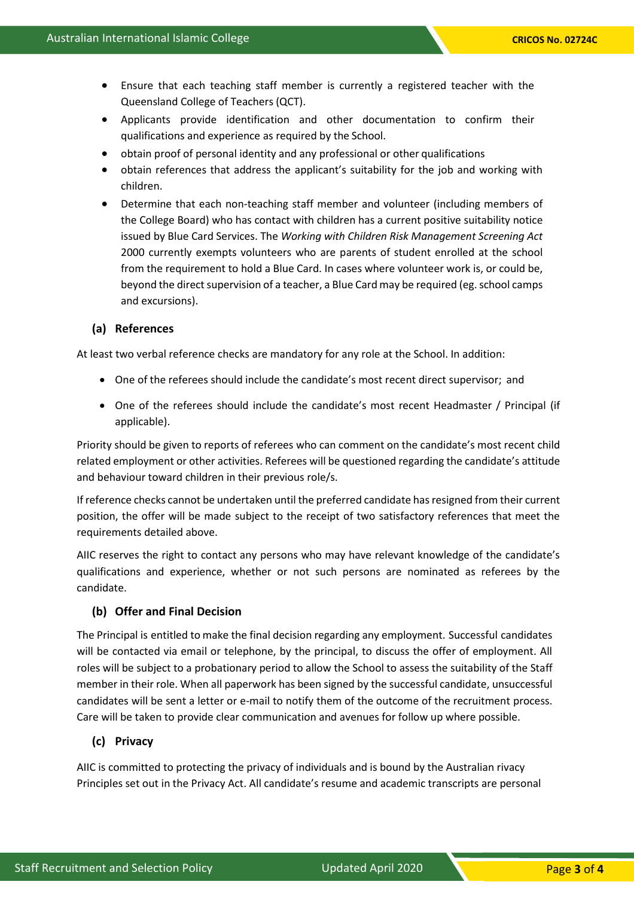- Ensure that each teaching staff member is currently a registered teacher with the Queensland College of Teachers (QCT).
- Applicants provide identification and other documentation to confirm their qualifications and experience as required by the School.
- obtain proof of personal identity and any professional or other qualifications
- obtain references that address the applicant's suitability for the job and working with children.
- Determine that each non-teaching staff member and volunteer (including members of the College Board) who has contact with children has a current positive suitability notice issued by Blue Card Services. The *Working with Children Risk Management Screening Act*  2000 currently exempts volunteers who are parents of student enrolled at the school from the requirement to hold a Blue Card. In cases where volunteer work is, or could be, beyond the direct supervision of a teacher, a Blue Card may be required (eg. school camps and excursions).

#### **(a) References**

At least two verbal reference checks are mandatory for any role at the School. In addition:

- One of the referees should include the candidate's most recent direct supervisor; and
- One of the referees should include the candidate's most recent Headmaster / Principal (if applicable).

Priority should be given to reports of referees who can comment on the candidate's most recent child related employment or other activities. Referees will be questioned regarding the candidate's attitude and behaviour toward children in their previous role/s.

If reference checks cannot be undertaken until the preferred candidate has resigned from their current position, the offer will be made subject to the receipt of two satisfactory references that meet the requirements detailed above.

AIIC reserves the right to contact any persons who may have relevant knowledge of the candidate's qualifications and experience, whether or not such persons are nominated as referees by the candidate.

# **(b) Offer and Final Decision**

The Principal is entitled to make the final decision regarding any employment. Successful candidates will be contacted via email or telephone, by the principal, to discuss the offer of employment. All roles will be subject to a probationary period to allow the School to assess the suitability of the Staff member in their role. When all paperwork has been signed by the successful candidate, unsuccessful candidates will be sent a letter or e-mail to notify them of the outcome of the recruitment process. Care will be taken to provide clear communication and avenues for follow up where possible.

## **(c) Privacy**

AIIC is committed to protecting the privacy of individuals and is bound by the Australian rivacy Principles set out in the Privacy Act. All candidate's resume and academic transcripts are personal